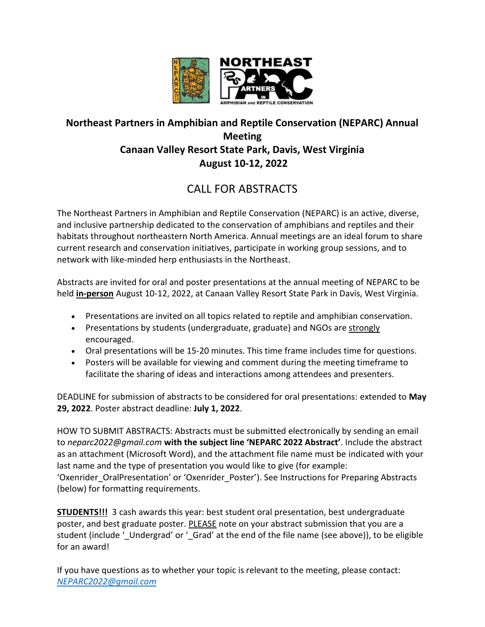

### **Northeast Partners in Amphibian and Reptile Conservation (NEPARC) Annual Meeting Canaan Valley Resort State Park, Davis, West Virginia August 10-12, 2022**

# CALL FOR ABSTRACTS

The Northeast Partners in Amphibian and Reptile Conservation (NEPARC) is an active, diverse, and inclusive partnership dedicated to the conservation of amphibians and reptiles and their habitats throughout northeastern North America. Annual meetings are an ideal forum to share current research and conservation initiatives, participate in working group sessions, and to network with like‐minded herp enthusiasts in the Northeast.

Abstracts are invited for oral and poster presentations at the annual meeting of NEPARC to be held **in-person** August 10-12, 2022, at Canaan Valley Resort State Park in Davis, West Virginia.

- Presentations are invited on all topics related to reptile and amphibian conservation.
- Presentations by students (undergraduate, graduate) and NGOs are strongly encouraged.
- Oral presentations will be 15-20 minutes. This time frame includes time for questions.
- Posters will be available for viewing and comment during the meeting timeframe to facilitate the sharing of ideas and interactions among attendees and presenters.

DEADLINE for submission of abstracts to be considered for oral presentations: extended to **May 29, 2022**. Poster abstract deadline: **July 1, 2022**.

HOW TO SUBMIT ABSTRACTS: Abstracts must be submitted electronically by sending an email to *neparc2022@gmail.com* **with the subject line 'NEPARC 2022 Abstract'**. Include the abstract as an attachment (Microsoft Word), and the attachment file name must be indicated with your last name and the type of presentation you would like to give (for example: 'Oxenrider OralPresentation' or 'Oxenrider\_Poster'). See Instructions for Preparing Abstracts (below) for formatting requirements.

**STUDENTS!!!** 3 cash awards this year: best student oral presentation, best undergraduate poster, and best graduate poster. PLEASE note on your abstract submission that you are a student (include '\_Undergrad' or '\_Grad' at the end of the file name (see above)), to be eligible for an award!

If you have questions as to whether your topic is relevant to the meeting, please contact: *[NEPARC2022@gmail.com](mailto:neparc2022@gmail.com)*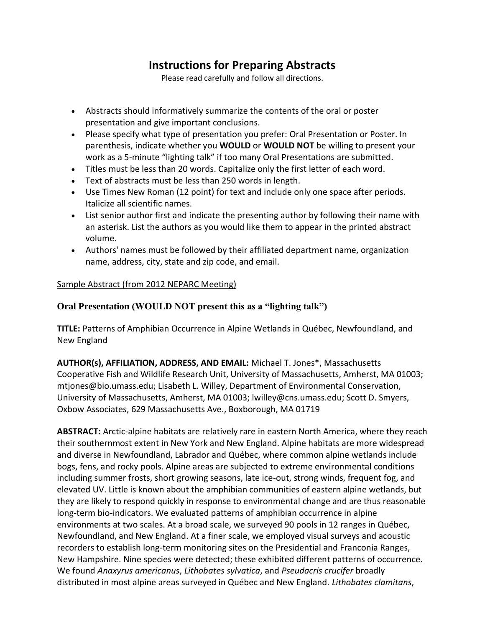## **Instructions for Preparing Abstracts**

Please read carefully and follow all directions.

- Abstracts should informatively summarize the contents of the oral or poster presentation and give important conclusions.
- Please specify what type of presentation you prefer: Oral Presentation or Poster. In parenthesis, indicate whether you **WOULD** or **WOULD NOT** be willing to present your work as a 5-minute "lighting talk" if too many Oral Presentations are submitted.
- Titles must be less than 20 words. Capitalize only the first letter of each word.
- Text of abstracts must be less than 250 words in length.
- Use Times New Roman (12 point) for text and include only one space after periods. Italicize all scientific names.
- List senior author first and indicate the presenting author by following their name with an asterisk. List the authors as you would like them to appear in the printed abstract volume.
- Authors' names must be followed by their affiliated department name, organization name, address, city, state and zip code, and email.

#### Sample Abstract (from 2012 NEPARC Meeting)

### **Oral Presentation (WOULD NOT present this as a "lighting talk")**

**TITLE:** Patterns of Amphibian Occurrence in Alpine Wetlands in Québec, Newfoundland, and New England

**AUTHOR(s), AFFILIATION, ADDRESS, AND EMAIL:** Michael T. Jones\*, Massachusetts Cooperative Fish and Wildlife Research Unit, University of Massachusetts, Amherst, MA 01003; mtjones@bio.umass.edu; Lisabeth L. Willey, Department of Environmental Conservation, University of Massachusetts, Amherst, MA 01003; lwilley@cns.umass.edu; Scott D. Smyers, Oxbow Associates, 629 Massachusetts Ave., Boxborough, MA 01719

**ABSTRACT:** Arctic-alpine habitats are relatively rare in eastern North America, where they reach their southernmost extent in New York and New England. Alpine habitats are more widespread and diverse in Newfoundland, Labrador and Québec, where common alpine wetlands include bogs, fens, and rocky pools. Alpine areas are subjected to extreme environmental conditions including summer frosts, short growing seasons, late ice-out, strong winds, frequent fog, and elevated UV. Little is known about the amphibian communities of eastern alpine wetlands, but they are likely to respond quickly in response to environmental change and are thus reasonable long-term bio-indicators. We evaluated patterns of amphibian occurrence in alpine environments at two scales. At a broad scale, we surveyed 90 pools in 12 ranges in Québec, Newfoundland, and New England. At a finer scale, we employed visual surveys and acoustic recorders to establish long-term monitoring sites on the Presidential and Franconia Ranges, New Hampshire. Nine species were detected; these exhibited different patterns of occurrence. We found *Anaxyrus americanus*, *Lithobates sylvatica*, and *Pseudacris crucifer* broadly distributed in most alpine areas surveyed in Québec and New England. *Lithobates clamitans*,